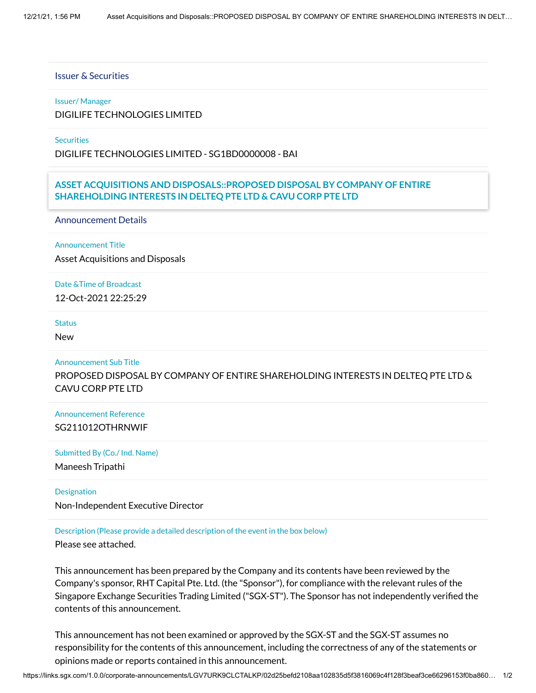## Issuer & Securities

### Issuer/ Manager

DIGILIFE TECHNOLOGIES LIMITED

**Securities** 

DIGILIFE TECHNOLOGIES LIMITED - SG1BD0000008 - BAI

# Stapled Security **ASSET ACQUISITIONS AND DISPOSALS::PROPOSED DISPOSAL BY COMPANY OF ENTIRE** No **SHAREHOLDING INTERESTS IN DELTEQ PTE LTD & CAVU CORP PTE LTD**

Announcement Details

Announcement Title

Asset Acquisitions and Disposals

Date &Time of Broadcast 12-Oct-2021 22:25:29

#### **Status**

New

#### Announcement Sub Title

PROPOSED DISPOSAL BY COMPANY OF ENTIRE SHAREHOLDING INTERESTS IN DELTEQ PTE LTD & CAVU CORP PTE LTD

Announcement Reference SG211012OTHRNWIF

Submitted By (Co./ Ind. Name)

Maneesh Tripathi

**Designation** 

Non-Independent Executive Director

Description (Please provide a detailed description of the event in the box below)

Please see attached.

This announcement has been prepared by the Company and its contents have been reviewed by the Company's sponsor, RHT Capital Pte. Ltd. (the "Sponsor"), for compliance with the relevant rules of the Singapore Exchange Securities Trading Limited ("SGX-ST"). The Sponsor has not independently verified the contents of this announcement.

This announcement has not been examined or approved by the SGX-ST and the SGX-ST assumes no responsibility for the contents of this announcement, including the correctness of any of the statements or opinions made or reports contained in this announcement.